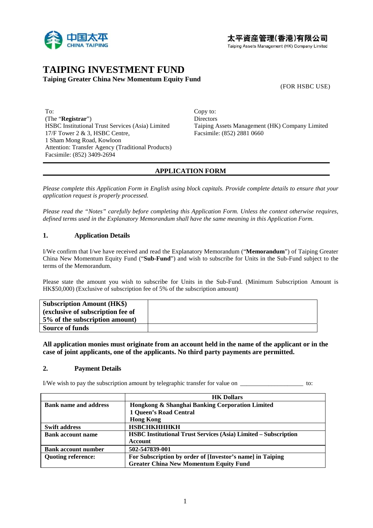

# **TAIPING INVESTMENT FUND Taiping Greater China New Momentum Equity Fund**

(FOR HSBC USE)

To: Copy to: (The "**Registrar**") Directors 17/F Tower 2 & 3, HSBC Centre, Facsimile: (852) 2881 0660 1 Sham Mong Road, Kowloon Attention: Transfer Agency (Traditional Products) Facsimile: (852) 3409-2694

HSBC Institutional Trust Services (Asia) Limited Taiping Assets Management (HK) Company Limited

# **APPLICATION FORM**

*Please complete this Application Form in English using block capitals. Provide complete details to ensure that your application request is properly processed.* 

*Please read the "Notes" carefully before completing this Application Form. Unless the context otherwise requires, defined terms used in the Explanatory Memorandum shall have the same meaning in this Application Form.* 

## **1. Application Details**

I/We confirm that I/we have received and read the Explanatory Memorandum ("**Memorandum**") of Taiping Greater China New Momentum Equity Fund ("**Sub-Fund**") and wish to subscribe for Units in the Sub-Fund subject to the terms of the Memorandum.

Please state the amount you wish to subscribe for Units in the Sub-Fund. (Minimum Subscription Amount is HK\$50,000) (Exclusive of subscription fee of 5% of the subscription amount)

| <b>Subscription Amount (HK\$)</b> |  |
|-----------------------------------|--|
| (exclusive of subscription fee of |  |
| 5% of the subscription amount)    |  |
| <b>Source of funds</b>            |  |

**All application monies must originate from an account held in the name of the applicant or in the case of joint applicants, one of the applicants. No third party payments are permitted.** 

### **2. Payment Details**

I/We wish to pay the subscription amount by telegraphic transfer for value on  $\sim$  to:

|                              | <b>HK Dollars</b>                                                      |
|------------------------------|------------------------------------------------------------------------|
| <b>Bank name and address</b> | Hongkong & Shanghai Banking Corporation Limited                        |
|                              | 1 Queen's Road Central                                                 |
|                              | <b>Hong Kong</b>                                                       |
| <b>Swift address</b>         | <b>НЅВСНКНННКН</b>                                                     |
| <b>Bank account name</b>     | <b>HSBC Institutional Trust Services (Asia) Limited – Subscription</b> |
|                              | <b>Account</b>                                                         |
| <b>Bank account number</b>   | 502-547839-001                                                         |
| <b>Quoting reference:</b>    | For Subscription by order of [Investor's name] in Taiping              |
|                              | <b>Greater China New Momentum Equity Fund</b>                          |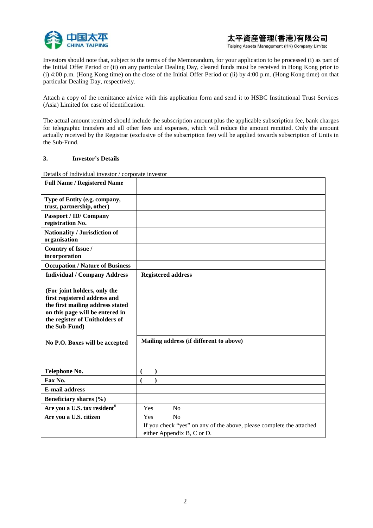

Investors should note that, subject to the terms of the Memorandum, for your application to be processed (i) as part of the Initial Offer Period or (ii) on any particular Dealing Day, cleared funds must be received in Hong Kong prior to (i) 4:00 p.m. (Hong Kong time) on the close of the Initial Offer Period or (ii) by 4:00 p.m. (Hong Kong time) on that particular Dealing Day, respectively.

Attach a copy of the remittance advice with this application form and send it to HSBC Institutional Trust Services (Asia) Limited for ease of identification.

The actual amount remitted should include the subscription amount plus the applicable subscription fee, bank charges for telegraphic transfers and all other fees and expenses, which will reduce the amount remitted. Only the amount actually received by the Registrar (exclusive of the subscription fee) will be applied towards subscription of Units in the Sub-Fund.

### **3. Investor's Details**

Details of Individual investor / corporate investor

| <b>Full Name / Registered Name</b>                                                                                                                                                     |                                                                      |
|----------------------------------------------------------------------------------------------------------------------------------------------------------------------------------------|----------------------------------------------------------------------|
| Type of Entity (e.g. company,<br>trust, partnership, other)                                                                                                                            |                                                                      |
| <b>Passport / ID/ Company</b><br>registration No.                                                                                                                                      |                                                                      |
| Nationality / Jurisdiction of<br>organisation                                                                                                                                          |                                                                      |
| Country of Issue /<br>incorporation                                                                                                                                                    |                                                                      |
| <b>Occupation / Nature of Business</b>                                                                                                                                                 |                                                                      |
| <b>Individual / Company Address</b>                                                                                                                                                    | <b>Registered address</b>                                            |
| (For joint holders, only the<br>first registered address and<br>the first mailing address stated<br>on this page will be entered in<br>the register of Unitholders of<br>the Sub-Fund) |                                                                      |
| No P.O. Boxes will be accepted                                                                                                                                                         | Mailing address (if different to above)                              |
|                                                                                                                                                                                        |                                                                      |
| Telephone No.                                                                                                                                                                          |                                                                      |
| Fax No.                                                                                                                                                                                |                                                                      |
| <b>E-mail address</b>                                                                                                                                                                  |                                                                      |
| Beneficiary shares (%)                                                                                                                                                                 |                                                                      |
| Are you a U.S. tax resident <sup>#</sup>                                                                                                                                               | Yes<br>No                                                            |
| Are you a U.S. citizen                                                                                                                                                                 | No<br>Yes                                                            |
|                                                                                                                                                                                        | If you check "yes" on any of the above, please complete the attached |
|                                                                                                                                                                                        | either Appendix B, C or D.                                           |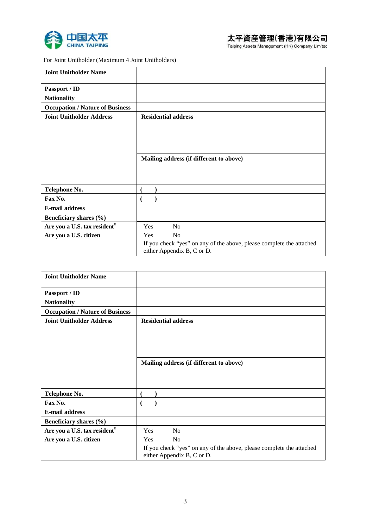



For Joint Unitholder (Maximum 4 Joint Unitholders)

| <b>Joint Unitholder Name</b>             |                                                                                                    |
|------------------------------------------|----------------------------------------------------------------------------------------------------|
| Passport / ID                            |                                                                                                    |
| <b>Nationality</b>                       |                                                                                                    |
| <b>Occupation / Nature of Business</b>   |                                                                                                    |
| <b>Joint Unitholder Address</b>          | <b>Residential address</b>                                                                         |
|                                          |                                                                                                    |
|                                          |                                                                                                    |
|                                          |                                                                                                    |
|                                          |                                                                                                    |
|                                          | Mailing address (if different to above)                                                            |
|                                          |                                                                                                    |
|                                          |                                                                                                    |
| Telephone No.                            |                                                                                                    |
| Fax No.                                  |                                                                                                    |
| <b>E-mail address</b>                    |                                                                                                    |
| Beneficiary shares (%)                   |                                                                                                    |
| Are you a U.S. tax resident <sup>#</sup> | Yes<br>N <sub>0</sub>                                                                              |
| Are you a U.S. citizen                   | N <sub>o</sub><br>Yes                                                                              |
|                                          | If you check "yes" on any of the above, please complete the attached<br>either Appendix B, C or D. |

| <b>Joint Unitholder Name</b>             |                                                                      |
|------------------------------------------|----------------------------------------------------------------------|
| Passport / ID                            |                                                                      |
| <b>Nationality</b>                       |                                                                      |
| <b>Occupation / Nature of Business</b>   |                                                                      |
| <b>Joint Unitholder Address</b>          | <b>Residential address</b>                                           |
|                                          |                                                                      |
|                                          |                                                                      |
|                                          |                                                                      |
|                                          | Mailing address (if different to above)                              |
|                                          |                                                                      |
|                                          |                                                                      |
|                                          |                                                                      |
| Telephone No.                            |                                                                      |
| Fax No.                                  |                                                                      |
| <b>E-mail address</b>                    |                                                                      |
| Beneficiary shares (%)                   |                                                                      |
| Are you a U.S. tax resident <sup>#</sup> | <b>Yes</b><br>No                                                     |
| Are you a U.S. citizen                   | N <sub>0</sub><br>Yes                                                |
|                                          | If you check "yes" on any of the above, please complete the attached |
|                                          | either Appendix B, C or D.                                           |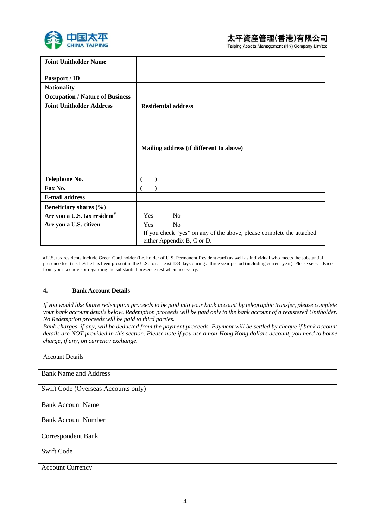

| <b>Joint Unitholder Name</b>             |                                                                                                    |
|------------------------------------------|----------------------------------------------------------------------------------------------------|
| Passport / ID                            |                                                                                                    |
| <b>Nationality</b>                       |                                                                                                    |
| <b>Occupation / Nature of Business</b>   |                                                                                                    |
| <b>Joint Unitholder Address</b>          | <b>Residential address</b>                                                                         |
|                                          |                                                                                                    |
|                                          |                                                                                                    |
|                                          |                                                                                                    |
|                                          | Mailing address (if different to above)                                                            |
|                                          |                                                                                                    |
|                                          |                                                                                                    |
|                                          |                                                                                                    |
| Telephone No.                            |                                                                                                    |
| Fax No.                                  |                                                                                                    |
| <b>E-mail address</b>                    |                                                                                                    |
| Beneficiary shares (%)                   |                                                                                                    |
| Are you a U.S. tax resident <sup>#</sup> | <b>Yes</b><br>N <sub>0</sub>                                                                       |
| Are you a U.S. citizen                   | <b>Yes</b><br>N <sub>0</sub>                                                                       |
|                                          | If you check "yes" on any of the above, please complete the attached<br>either Appendix B, C or D. |

**#** U.S. tax residents include Green Card holder (i.e. holder of U.S. Permanent Resident card) as well as individual who meets the substantial presence test (i.e. he/she has been present in the U.S. for at least 183 days during a three year period (including current year). Please seek advice from your tax advisor regarding the substantial presence test when necessary.

### **4. Bank Account Details**

*If you would like future redemption proceeds to be paid into your bank account by telegraphic transfer, please complete your bank account details below. Redemption proceeds will be paid only to the bank account of a registered Unitholder. No Redemption proceeds will be paid to third parties.* 

*Bank charges, if any, will be deducted from the payment proceeds. Payment will be settled by cheque if bank account details are NOT provided in this section. Please note if you use a non-Hong Kong dollars account, you need to borne charge, if any, on currency exchange.* 

#### Account Details

| <b>Bank Name and Address</b>        |  |
|-------------------------------------|--|
| Swift Code (Overseas Accounts only) |  |
| <b>Bank Account Name</b>            |  |
| <b>Bank Account Number</b>          |  |
| <b>Correspondent Bank</b>           |  |
| <b>Swift Code</b>                   |  |
| <b>Account Currency</b>             |  |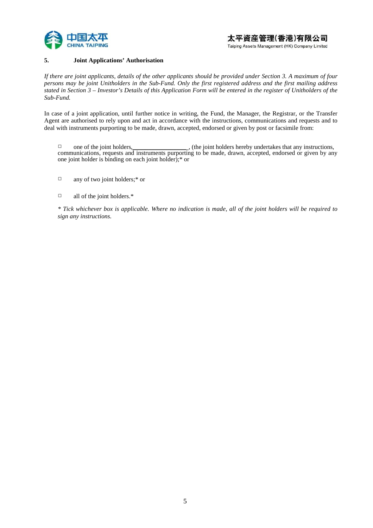

### **5. Joint Applications' Authorisation**

*If there are joint applicants, details of the other applicants should be provided under Section 3. A maximum of four persons may be joint Unitholders in the Sub-Fund. Only the first registered address and the first mailing address stated in Section 3 – Investor's Details of this Application Form will be entered in the register of Unitholders of the Sub-Fund.*

In case of a joint application, until further notice in writing, the Fund, the Manager, the Registrar, or the Transfer Agent are authorised to rely upon and act in accordance with the instructions, communications and requests and to deal with instruments purporting to be made, drawn, accepted, endorsed or given by post or facsimile from:

□ one of the joint holders, \_\_\_\_\_\_\_\_\_\_\_\_\_\_\_\_\_ , (the joint holders hereby undertakes that any instructions, communications, requests and instruments purporting to be made, drawn, accepted, endorsed or given by any one joint holder is binding on each joint holder);\* or

- □ any of two joint holders;\* or
- $\Box$  all of the joint holders.\*

*\* Tick whichever box is applicable. Where no indication is made, all of the joint holders will be required to sign any instructions.*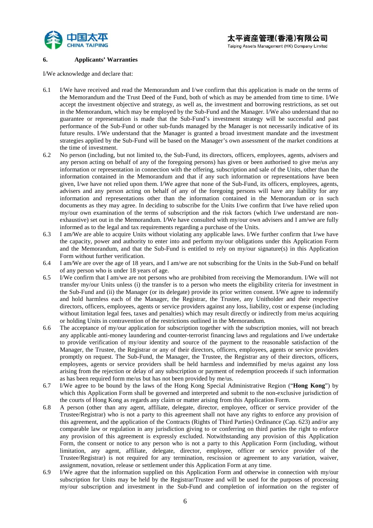

#### **6. Applicants' Warranties**

I/We acknowledge and declare that:

- 6.1 I/We have received and read the Memorandum and I/we confirm that this application is made on the terms of the Memorandum and the Trust Deed of the Fund, both of which as may be amended from time to time. I/We accept the investment objective and strategy, as well as, the investment and borrowing restrictions, as set out in the Memorandum, which may be employed by the Sub-Fund and the Manager. I/We also understand that no guarantee or representation is made that the Sub-Fund's investment strategy will be successful and past performance of the Sub-Fund or other sub-funds managed by the Manager is not necessarily indicative of its future results. I/We understand that the Manager is granted a broad investment mandate and the investment strategies applied by the Sub-Fund will be based on the Manager's own assessment of the market conditions at the time of investment.
- 6.2 No person (including, but not limited to, the Sub-Fund, its directors, officers, employees, agents, advisers and any person acting on behalf of any of the foregoing persons) has given or been authorised to give me/us any information or representation in connection with the offering, subscription and sale of the Units, other than the information contained in the Memorandum and that if any such information or representations have been given, I/we have not relied upon them. I/We agree that none of the Sub-Fund, its officers, employees, agents, advisers and any person acting on behalf of any of the foregoing persons will have any liability for any information and representations other than the information contained in the Memorandum or in such documents as they may agree. In deciding to subscribe for the Units I/we confirm that I/we have relied upon my/our own examination of the terms of subscription and the risk factors (which I/we understand are nonexhaustive) set out in the Memorandum. I/We have consulted with my/our own advisers and I am/we are fully informed as to the legal and tax requirements regarding a purchase of the Units.
- 6.3 I am/We are able to acquire Units without violating any applicable laws. I/We further confirm that I/we have the capacity, power and authority to enter into and perform my/our obligations under this Application Form and the Memorandum, and that the Sub-Fund is entitled to rely on my/our signature(s) in this Application Form without further verification.
- 6.4 I am/We are over the age of 18 years, and I am/we are not subscribing for the Units in the Sub-Fund on behalf of any person who is under 18 years of age.
- 6.5 I/We confirm that I am/we are not persons who are prohibited from receiving the Memorandum. I/We will not transfer my/our Units unless (i) the transfer is to a person who meets the eligibility criteria for investment in the Sub-Fund and (ii) the Manager (or its delegate) provide its prior written consent. I/We agree to indemnify and hold harmless each of the Manager, the Registrar, the Trustee, any Unitholder and their respective directors, officers, employees, agents or service providers against any loss, liability, cost or expense (including without limitation legal fees, taxes and penalties) which may result directly or indirectly from me/us acquiring or holding Units in contravention of the restrictions outlined in the Memorandum.
- 6.6 The acceptance of my/our application for subscription together with the subscription monies, will not breach any applicable anti-money laundering and counter-terrorist financing laws and regulations and I/we undertake to provide verification of my/our identity and source of the payment to the reasonable satisfaction of the Manager, the Trustee, the Registrar or any of their directors, officers, employees, agents or service providers promptly on request. The Sub-Fund, the Manager, the Trustee, the Registrar any of their directors, officers, employees, agents or service providers shall be held harmless and indemnified by me/us against any loss arising from the rejection or delay of any subscription or payment of redemption proceeds if such information as has been required form me/us but has not been provided by me/us.
- 6.7 I/We agree to be bound by the laws of the Hong Kong Special Administrative Region ("**Hong Kong**") by which this Application Form shall be governed and interpreted and submit to the non-exclusive jurisdiction of the courts of Hong Kong as regards any claim or matter arising from this Application Form.
- 6.8 A person (other than any agent, affiliate, delegate, director, employee, officer or service provider of the Trustee/Registrar) who is not a party to this agreement shall not have any rights to enforce any provision of this agreement, and the application of the Contracts (Rights of Third Parties) Ordinance (Cap. 623) and/or any comparable law or regulation in any jurisdiction giving to or conferring on third parties the right to enforce any provision of this agreement is expressly excluded. Notwithstanding any provision of this Application Form, the consent or notice to any person who is not a party to this Application Form (including, without limitation, any agent, affiliate, delegate, director, employee, officer or service provider of the Trustee/Registrar) is not required for any termination, rescission or agreement to any variation, waiver, assignment, novation, release or settlement under this Application Form at any time.
- 6.9 I/We agree that the information supplied on this Application Form and otherwise in connection with my/our subscription for Units may be held by the Registrar/Trustee and will be used for the purposes of processing my/our subscription and investment in the Sub-Fund and completion of information on the register of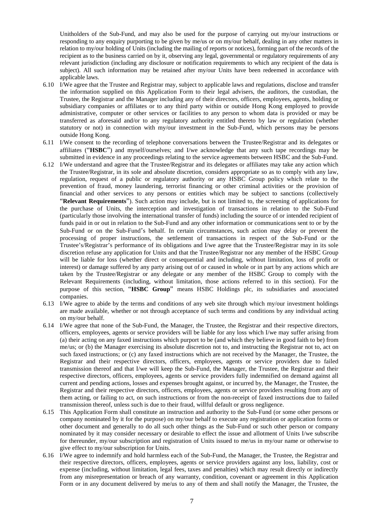Unitholders of the Sub-Fund, and may also be used for the purpose of carrying out my/our instructions or responding to any enquiry purporting to be given by me/us or on my/our behalf, dealing in any other matters in relation to my/our holding of Units (including the mailing of reports or notices), forming part of the records of the recipient as to the business carried on by it, observing any legal, governmental or regulatory requirements of any relevant jurisdiction (including any disclosure or notification requirements to which any recipient of the data is subject). All such information may be retained after my/our Units have been redeemed in accordance with applicable laws.

- 6.10 I/We agree that the Trustee and Registrar may, subject to applicable laws and regulations, disclose and transfer the information supplied on this Application Form to their legal advisers, the auditors, the custodian, the Trustee, the Registrar and the Manager including any of their directors, officers, employees, agents, holding or subsidiary companies or affiliates or to any third party within or outside Hong Kong employed to provide administrative, computer or other services or facilities to any person to whom data is provided or may be transferred as aforesaid and/or to any regulatory authority entitled thereto by law or regulation (whether statutory or not) in connection with my/our investment in the Sub-Fund, which persons may be persons outside Hong Kong.
- 6.11 I/We consent to the recording of telephone conversations between the Trustee/Registrar and its delegates or affiliates ("**HSBC**") and myself/ourselves; and I/we acknowledge that any such tape recordings may be submitted in evidence in any proceedings relating to the service agreements between HSBC and the Sub-Fund.
- 6.12 I/We understand and agree that the Trustee/Registrar and its delegates or affiliates may take any action which the Trustee/Registrar, in its sole and absolute discretion, considers appropriate so as to comply with any law, regulation, request of a public or regulatory authority or any HSBC Group policy which relate to the prevention of fraud, money laundering, terrorist financing or other criminal activities or the provision of financial and other services to any persons or entities which may be subject to sanctions (collectively "**Relevant Requirements**"). Such action may include, but is not limited to, the screening of applications for the purchase of Units, the interception and investigation of transactions in relation to the Sub-Fund (particularly those involving the international transfer of funds) including the source of or intended recipient of funds paid in or out in relation to the Sub-Fund and any other information or communications sent to or by the Sub-Fund or on the Sub-Fund's behalf. In certain circumstances, such action may delay or prevent the processing of proper instructions, the settlement of transactions in respect of the Sub-Fund or the Trustee's/Registrar's performance of its obligations and I/we agree that the Trustee/Registrar may in its sole discretion refuse any application for Units and that the Trustee/Registrar nor any member of the HSBC Group will be liable for loss (whether direct or consequential and including, without limitation, loss of profit or interest) or damage suffered by any party arising out of or caused in whole or in part by any actions which are taken by the Trustee/Registrar or any delegate or any member of the HSBC Group to comply with the Relevant Requirements (including, without limitation, those actions referred to in this section). For the purpose of this section, "**HSBC Group**" means HSBC Holdings plc, its subsidiaries and associated companies.
- 6.13 I/We agree to abide by the terms and conditions of any web site through which my/our investment holdings are made available, whether or not through acceptance of such terms and conditions by any individual acting on my/our behalf.
- 6.14 I/We agree that none of the Sub-Fund, the Manager, the Trustee, the Registrar and their respective directors, officers, employees, agents or service providers will be liable for any loss which I/we may suffer arising from (a) their acting on any faxed instructions which purport to be (and which they believe in good faith to be) from me/us; or (b) the Manager exercising its absolute discretion not to, and instructing the Registrar not to, act on such faxed instructions; or (c) any faxed instructions which are not received by the Manager, the Trustee, the Registrar and their respective directors, officers, employees, agents or service providers due to failed transmission thereof and that I/we will keep the Sub-Fund, the Manager, the Trustee, the Registrar and their respective directors, officers, employees, agents or service providers fully indemnified on demand against all current and pending actions, losses and expenses brought against, or incurred by, the Manager, the Trustee, the Registrar and their respective directors, officers, employees, agents or service providers resulting from any of them acting, or failing to act, on such instructions or from the non-receipt of faxed instructions due to failed transmission thereof, unless such is due to their fraud, willful default or gross negligence.
- 6.15 This Application Form shall constitute an instruction and authority to the Sub-Fund (or some other persons or company nominated by it for the purpose) on my/our behalf to execute any registration or application forms or other document and generally to do all such other things as the Sub-Fund or such other person or company nominated by it may consider necessary or desirable to effect the issue and allotment of Units I/we subscribe for thereunder, my/our subscription and registration of Units issued to me/us in my/our name or otherwise to give effect to my/our subscription for Units.
- 6.16 I/We agree to indemnify and hold harmless each of the Sub-Fund, the Manager, the Trustee, the Registrar and their respective directors, officers, employees, agents or service providers against any loss, liability, cost or expense (including, without limitation, legal fees, taxes and penalties) which may result directly or indirectly from any misrepresentation or breach of any warranty, condition, covenant or agreement in this Application Form or in any document delivered by me/us to any of them and shall notify the Manager, the Trustee, the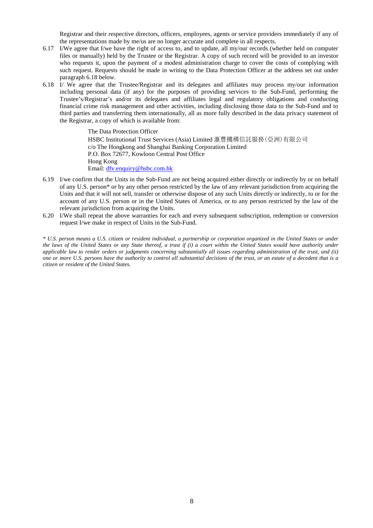Registrar and their respective directors, officers, employees, agents or service providers immediately if any of the representations made by me/us are no longer accurate and complete in all respects.

- 6.17 I/We agree that I/we have the right of access to, and to update, all my/our records (whether held on computer files or manually) held by the Trustee or the Registrar. A copy of such record will be provided to an investor who requests it, upon the payment of a modest administration charge to cover the costs of complying with such request. Requests should be made in writing to the Data Protection Officer at the address set out under paragraph 6.18 below.
- 6.18 I/ We agree that the Trustee/Registrar and its delegates and affiliates may process my/our information including personal data (if any) for the purposes of providing services to the Sub-Fund, performing the Trustee's/Registrar's and/or its delegates and affiliates legal and regulatory obligations and conducting financial crime risk management and other activities, including disclosing those data to the Sub-Fund and to third parties and transferring them internationally, all as more fully described in the data privacy statement of the Registrar, a copy of which is available from:

 The Data Protection Officer HSBC Institutional Trust Services (Asia) Limited 滙豐機構信託服務(亞洲)有限公司 c/o The Hongkong and Shanghai Banking Corporation Limited P.O. Box 72677, Kowloon Central Post Office Hong Kong Email: dfv.enquiry@hsbc.com.hk

- 6.19 I/we confirm that the Units in the Sub-Fund are not being acquired either directly or indirectly by or on behalf of any U.S. person\* or by any other person restricted by the law of any relevant jurisdiction from acquiring the Units and that it will not sell, transfer or otherwise dispose of any such Units directly or indirectly, to or for the account of any U.S. person or in the United States of America, or to any person restricted by the law of the relevant jurisdiction from acquiring the Units.
- 6.20 I/We shall repeat the above warranties for each and every subsequent subscription, redemption or conversion request I/we make in respect of Units in the Sub-Fund.

*\* U.S. person means a U.S. citizen or resident individual, a partnership or corporation organized in the United States or under the laws of the United States or any State thereof, a trust if (i) a court within the United States would have authority under applicable law to render orders or judgments concerning substantially all issues regarding administration of the trust, and (ii) one or more U.S. persons have the authority to control all substantial decisions of the trust, or an estate of a decedent that is a citizen or resident of the United States.*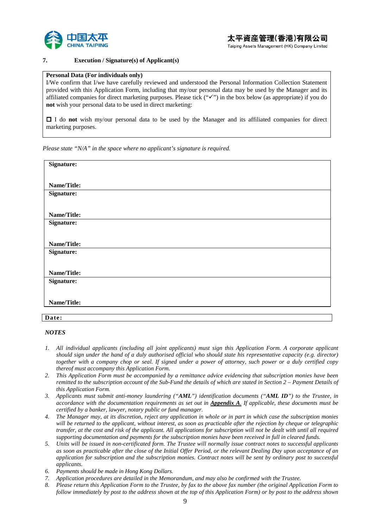

### **7. Execution / Signature(s) of Applicant(s)**

#### **Personal Data (For individuals only)**

I/We confirm that I/we have carefully reviewed and understood the Personal Information Collection Statement provided with this Application Form, including that my/our personal data may be used by the Manager and its affiliated companies for direct marketing purposes. Please tick  $(\forall \check{ }')$  in the box below (as appropriate) if you do **not** wish your personal data to be used in direct marketing:

 I do **not** wish my/our personal data to be used by the Manager and its affiliated companies for direct marketing purposes.

*Please state "N/A" in the space where no applicant's signature is required.* 

| Signature:  |  |  |  |
|-------------|--|--|--|
|             |  |  |  |
| Name/Title: |  |  |  |
| Signature:  |  |  |  |
|             |  |  |  |
| Name/Title: |  |  |  |
| Signature:  |  |  |  |
|             |  |  |  |
|             |  |  |  |
| Name/Title: |  |  |  |
| Signature:  |  |  |  |
|             |  |  |  |
| Name/Title: |  |  |  |
|             |  |  |  |
| Signature:  |  |  |  |
|             |  |  |  |
| Name/Title: |  |  |  |
|             |  |  |  |
|             |  |  |  |
| Date:       |  |  |  |

#### *NOTES*

- *1. All individual applicants (including all joint applicants) must sign this Application Form. A corporate applicant should sign under the hand of a duly authorised official who should state his representative capacity (e.g. director) together with a company chop or seal. If signed under a power of attorney, such power or a duly certified copy thereof must accompany this Application Form.*
- *2. This Application Form must be accompanied by a remittance advice evidencing that subscription monies have been remitted to the subscription account of the Sub-Fund the details of which are stated in Section 2 – Payment Details of this Application Form.*
- *3. Applicants must submit anti-money laundering ("AML") identification documents ("AML ID") to the Trustee, in accordance with the documentation requirements as set out in Appendix A. If applicable, these documents must be certified by a banker, lawyer, notary public or fund manager.*
- *4. The Manager may, at its discretion, reject any application in whole or in part in which case the subscription monies will be returned to the applicant, without interest, as soon as practicable after the rejection by cheque or telegraphic transfer, at the cost and risk of the applicant. All applications for subscription will not be dealt with until all required supporting documentation and payments for the subscription monies have been received in full in cleared funds.*
- *5. Units will be issued in non-certificated form. The Trustee will normally issue contract notes to successful applicants as soon as practicable after the close of the Initial Offer Period, or the relevant Dealing Day upon acceptance of an application for subscription and the subscription monies. Contract notes will be sent by ordinary post to successful applicants.*
- *6. Payments should be made in Hong Kong Dollars.*
- *7. Application procedures are detailed in the Memorandum, and may also be confirmed with the Trustee.*
- *8. Please return this Application Form to the Trustee, by fax to the above fax number (the original Application Form to follow immediately by post to the address shown at the top of this Application Form) or by post to the address shown*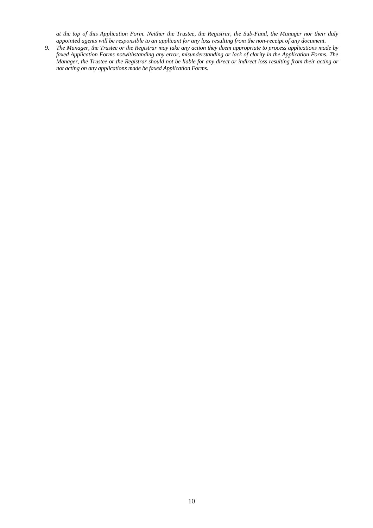*at the top of this Application Form. Neither the Trustee, the Registrar, the Sub-Fund, the Manager nor their duly appointed agents will be responsible to an applicant for any loss resulting from the non-receipt of any document.* 

*9. The Manager, the Trustee or the Registrar may take any action they deem appropriate to process applications made by faxed Application Forms notwithstanding any error, misunderstanding or lack of clarity in the Application Forms. The Manager, the Trustee or the Registrar should not be liable for any direct or indirect loss resulting from their acting or not acting on any applications made be faxed Application Forms.*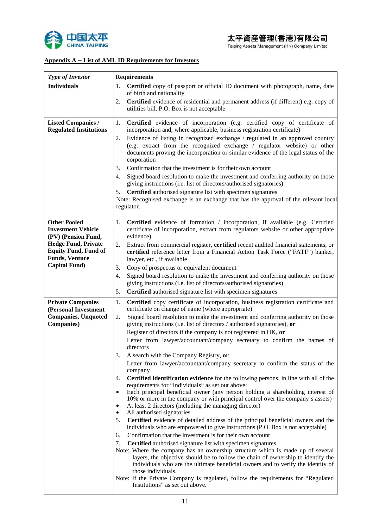

# **Appendix A – List of AML ID Requirements for Investors**

| <b>Type of Investor</b>                                                                                                                                                               | <b>Requirements</b>                                                                                                                                                                                                                                                                                                                                                                                                                                                                                                                                                                                                                                                                                                                                                                                                                                                                                                                                                                                                                                                                                                                                                                                                                                                                                                                                                                                                                                                                                                                                                                                                                                                                                                                                                                                                                                         |  |  |
|---------------------------------------------------------------------------------------------------------------------------------------------------------------------------------------|-------------------------------------------------------------------------------------------------------------------------------------------------------------------------------------------------------------------------------------------------------------------------------------------------------------------------------------------------------------------------------------------------------------------------------------------------------------------------------------------------------------------------------------------------------------------------------------------------------------------------------------------------------------------------------------------------------------------------------------------------------------------------------------------------------------------------------------------------------------------------------------------------------------------------------------------------------------------------------------------------------------------------------------------------------------------------------------------------------------------------------------------------------------------------------------------------------------------------------------------------------------------------------------------------------------------------------------------------------------------------------------------------------------------------------------------------------------------------------------------------------------------------------------------------------------------------------------------------------------------------------------------------------------------------------------------------------------------------------------------------------------------------------------------------------------------------------------------------------------|--|--|
| <b>Individuals</b>                                                                                                                                                                    | Certified copy of passport or official ID document with photograph, name, date<br>1.<br>of birth and nationality                                                                                                                                                                                                                                                                                                                                                                                                                                                                                                                                                                                                                                                                                                                                                                                                                                                                                                                                                                                                                                                                                                                                                                                                                                                                                                                                                                                                                                                                                                                                                                                                                                                                                                                                            |  |  |
|                                                                                                                                                                                       | Certified evidence of residential and permanent address (if different) e.g. copy of<br>2.<br>utilities bill. P.O. Box is not acceptable                                                                                                                                                                                                                                                                                                                                                                                                                                                                                                                                                                                                                                                                                                                                                                                                                                                                                                                                                                                                                                                                                                                                                                                                                                                                                                                                                                                                                                                                                                                                                                                                                                                                                                                     |  |  |
| <b>Listed Companies /</b><br><b>Regulated Institutions</b>                                                                                                                            | Certified evidence of incorporation (e.g. certified copy of certificate of<br>1.<br>incorporation and, where applicable, business registration certificate)<br>Evidence of listing in recognized exchange / regulated in an approved country<br>2.<br>(e.g. extract from the recognized exchange / regulator website) or other<br>documents proving the incorporation or similar evidence of the legal status of the<br>corporation<br>Confirmation that the investment is for their own account<br>3.<br>Signed board resolution to make the investment and conferring authority on those<br>4.<br>giving instructions (i.e. list of directors/authorised signatories)<br>Certified authorised signature list with specimen signatures<br>5.<br>Note: Recognised exchange is an exchange that has the approval of the relevant local<br>regulator.                                                                                                                                                                                                                                                                                                                                                                                                                                                                                                                                                                                                                                                                                                                                                                                                                                                                                                                                                                                                         |  |  |
| <b>Other Pooled</b><br><b>Investment Vehicle</b><br>(PV) (Pension Fund,<br><b>Hedge Fund, Private</b><br><b>Equity Fund, Fund of</b><br><b>Funds, Venture</b><br><b>Capital Fund)</b> | Certified evidence of formation / incorporation, if available (e.g. Certified<br>1.<br>certificate of incorporation, extract from regulators website or other appropriate<br>evidence)<br>Extract from commercial register, certified recent audited financial statements, or<br>2.<br>certified reference letter from a Financial Action Task Force ("FATF") banker,<br>lawyer, etc., if available<br>Copy of prospectus or equivalent document<br>3.<br>Signed board resolution to make the investment and conferring authority on those<br>4.<br>giving instructions (i.e. list of directors/authorised signatories)<br>5.                                                                                                                                                                                                                                                                                                                                                                                                                                                                                                                                                                                                                                                                                                                                                                                                                                                                                                                                                                                                                                                                                                                                                                                                                               |  |  |
|                                                                                                                                                                                       |                                                                                                                                                                                                                                                                                                                                                                                                                                                                                                                                                                                                                                                                                                                                                                                                                                                                                                                                                                                                                                                                                                                                                                                                                                                                                                                                                                                                                                                                                                                                                                                                                                                                                                                                                                                                                                                             |  |  |
| <b>Private Companies</b><br>(Personal Investment<br><b>Companies, Unquoted</b><br><b>Companies</b> )                                                                                  | Certified authorised signature list with specimen signatures<br>1.<br>Certified copy certificate of incorporation, business registration certificate and<br>certificate on change of name (where appropriate)<br>Signed board resolution to make the investment and conferring authority on those<br>2.<br>giving instructions (i.e. list of directors / authorised signatories), or<br>Register of directors if the company is not registered in HK, or<br>Letter from lawyer/accountant/company secretary to confirm the names of<br>directors<br>A search with the Company Registry, or<br>3.<br>Letter from lawyer/accountant/company secretary to confirm the status of the<br>company<br>Certified identification evidence for the following persons, in line with all of the<br>4.<br>requirements for "Individuals" as set out above:<br>Each principal beneficial owner (any person holding a shareholding interest of<br>$\bullet$<br>10% or more in the company or with principal control over the company's assets)<br>At least 2 directors (including the managing director)<br>٠<br>All authorised signatories<br>Certified evidence of detailed address of the principal beneficial owners and the<br>5.<br>individuals who are empowered to give instructions (P.O. Box is not acceptable)<br>Confirmation that the investment is for their own account<br>6.<br>7.<br>Certified authorised signature list with specimen signatures<br>Note: Where the company has an ownership structure which is made up of several<br>layers, the objective should be to follow the chain of ownership to identify the<br>individuals who are the ultimate beneficial owners and to verify the identity of<br>those individuals.<br>Note: If the Private Company is regulated, follow the requirements for "Regulated<br>Institutions" as set out above. |  |  |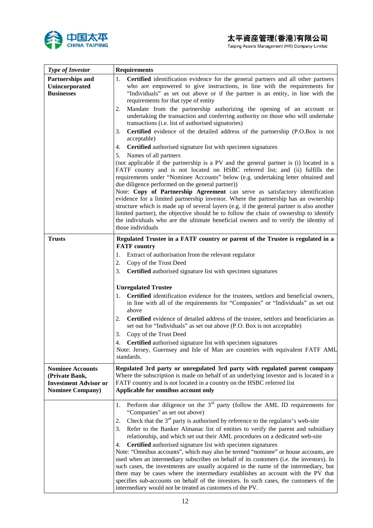

 $\mathsf{r}$ 

Taiping Assets Management (HK) Company Limited

٦

| <b>Type of Investor</b>                                                                               | <b>Requirements</b>                                                                                                                                                                                                                                                                                                                                                                                                                                                                                                                                                                                                                                                           |
|-------------------------------------------------------------------------------------------------------|-------------------------------------------------------------------------------------------------------------------------------------------------------------------------------------------------------------------------------------------------------------------------------------------------------------------------------------------------------------------------------------------------------------------------------------------------------------------------------------------------------------------------------------------------------------------------------------------------------------------------------------------------------------------------------|
| Partnerships and<br>Unincorporated<br><b>Businesses</b>                                               | Certified identification evidence for the general partners and all other partners<br>1.<br>who are empowered to give instructions, in line with the requirements for<br>"Individuals" as set out above or if the partner is an entity, in line with the<br>requirements for that type of entity<br>Mandate from the partnership authorizing the opening of an account or<br>2.<br>undertaking the transaction and conferring authority on those who will undertake                                                                                                                                                                                                            |
|                                                                                                       | transactions (i.e. list of authorised signatories)<br>Certified evidence of the detailed address of the partnership (P.O.Box is not<br>3.                                                                                                                                                                                                                                                                                                                                                                                                                                                                                                                                     |
|                                                                                                       | acceptable)                                                                                                                                                                                                                                                                                                                                                                                                                                                                                                                                                                                                                                                                   |
|                                                                                                       | Certified authorised signature list with specimen signatures<br>4.<br>Names of all partners<br>5.                                                                                                                                                                                                                                                                                                                                                                                                                                                                                                                                                                             |
|                                                                                                       | (not applicable if the partnership is a PV and the general partner is (i) located in a<br>FATF country and is not located on HSBC referred list; and (ii) fulfills the<br>requirements under "Nominee Accounts" below (e.g. undertaking letter obtained and<br>due diligence performed on the general partner))<br>Note: Copy of Partnership Agreement can serve as satisfactory identification<br>evidence for a limited partnership investor. Where the partnership has an ownership<br>structure which is made up of several layers (e.g. if the general partner is also another<br>limited partner), the objective should be to follow the chain of ownership to identify |
|                                                                                                       | the individuals who are the ultimate beneficial owners and to verify the identity of<br>those individuals                                                                                                                                                                                                                                                                                                                                                                                                                                                                                                                                                                     |
| <b>Trusts</b>                                                                                         | Regulated Trustee in a FATF country or parent of the Trustee is regulated in a                                                                                                                                                                                                                                                                                                                                                                                                                                                                                                                                                                                                |
|                                                                                                       | <b>FATF</b> country<br>Extract of authorisation from the relevant regulator<br>1.                                                                                                                                                                                                                                                                                                                                                                                                                                                                                                                                                                                             |
|                                                                                                       | 2.<br>Copy of the Trust Deed                                                                                                                                                                                                                                                                                                                                                                                                                                                                                                                                                                                                                                                  |
|                                                                                                       | 3.<br><b>Certified</b> authorised signature list with specimen signatures                                                                                                                                                                                                                                                                                                                                                                                                                                                                                                                                                                                                     |
|                                                                                                       | <b>Unregulated Trustee</b>                                                                                                                                                                                                                                                                                                                                                                                                                                                                                                                                                                                                                                                    |
|                                                                                                       | <b>Certified</b> identification evidence for the trustees, settlors and beneficial owners,<br>in line with all of the requirements for "Companies" or "Individuals" as set out<br>above                                                                                                                                                                                                                                                                                                                                                                                                                                                                                       |
|                                                                                                       | <b>Certified</b> evidence of detailed address of the trustee, settlors and beneficiaries as<br>2.<br>set out for "Individuals" as set out above (P.O. Box is not acceptable)                                                                                                                                                                                                                                                                                                                                                                                                                                                                                                  |
|                                                                                                       | Copy of the Trust Deed<br>3.                                                                                                                                                                                                                                                                                                                                                                                                                                                                                                                                                                                                                                                  |
|                                                                                                       | Certified authorised signature list with specimen signatures<br>4.<br>Note: Jersey, Guernsey and Isle of Man are countries with equivalent FATF AML<br>standards.                                                                                                                                                                                                                                                                                                                                                                                                                                                                                                             |
| <b>Nominee Accounts</b><br>(Private Bank,<br><b>Investment Advisor or</b><br><b>Nominee Company</b> ) | Regulated 3rd party or unregulated 3rd party with regulated parent company<br>Where the subscription is made on behalf of an underlying investor and is located in a<br>FATF country and is not located in a country on the HSBC referred list<br>Applicable for omnibus account only                                                                                                                                                                                                                                                                                                                                                                                         |
|                                                                                                       | 1. Perform due diligence on the $3rd$ party (follow the AML ID requirements for<br>"Companies" as set out above)                                                                                                                                                                                                                                                                                                                                                                                                                                                                                                                                                              |
|                                                                                                       | Check that the $3rd$ party is authorised by reference to the regulator's web-site<br>2.                                                                                                                                                                                                                                                                                                                                                                                                                                                                                                                                                                                       |
|                                                                                                       | Refer to the Banker Almanac list of entities to verify the parent and subsidiary<br>3.<br>relationship, and which set out their AML procedures on a dedicated web-site                                                                                                                                                                                                                                                                                                                                                                                                                                                                                                        |
|                                                                                                       | Certified authorised signature list with specimen signatures<br>4.<br>Note: "Omnibus accounts", which may also be termed "nominee" or house accounts, are<br>used when an intermediary subscribes on behalf of its customers (i.e. the investors). In<br>such cases, the investments are usually acquired in the name of the intermediary, but<br>there may be cases where the intermediary establishes an account with the PV that<br>specifies sub-accounts on behalf of the investors. In such cases, the customers of the<br>intermediary would not be treated as customers of the PV.                                                                                    |